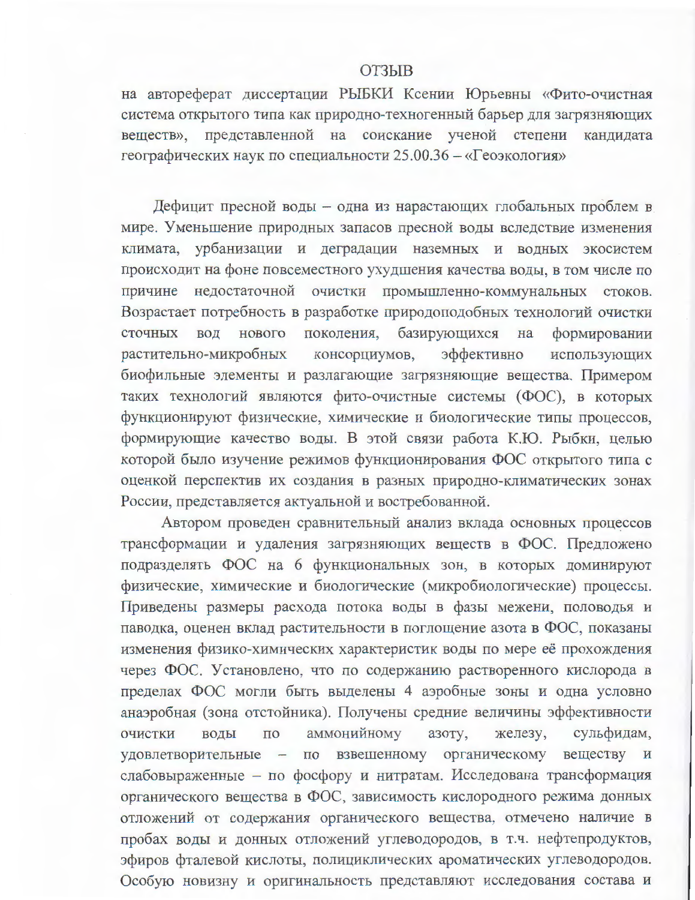## **ОТЗЫВ**

на автореферат диссертации РЫБКИ Ксении Юрьевны «Фито-очистная система открытого типа как природно-техногенный барьер для загрязняющих веществ», представленной на соискание ученой степени кандидата географических наук по специальности 25.00.36 - «Геоэкология»

Дефицит пресной воды - одна из нарастающих глобальных проблем в мире. Уменьшение природных запасов пресной воды вследствие изменения климата, урбанизации и деградации наземных и водных экосистем происходит на фоне повсеместного ухудшения качества воды, в том числе по причине недостаточной очистки промышленно-коммунальных стоков. Возрастает потребность в разработке природоподобных технологий очистки сточных ВОД нового поколения, базирующихся Ha формировании растительно-микробных консорциумов, эффективно использующих биофильные элементы и разлагающие загрязняющие вещества. Примером таких технологий являются фито-очистные системы (ФОС), в которых функционируют физические, химические и биологические типы процессов, формирующие качество воды. В этой связи работа К.Ю. Рыбки, целью которой было изучение режимов функционирования ФОС открытого типа с оценкой перспектив их создания в разных природно-климатических зонах России, представляется актуальной и востребованной.

Автором проведен сравнительный анализ вклада основных процессов трансформации и удаления загрязняющих веществ в ФОС. Предложено подразделять ФОС на 6 функциональных зон, в которых доминируют физические, химические и биологические (микробиологические) процессы. Приведены размеры расхода потока воды в фазы межени, половодья и паводка, оценен вклад растительности в поглощение азота в ФОС, показаны изменения физико-химических характеристик воды по мере её прохождения через ФОС. Установлено, что по содержанию растворенного кислорода в пределах ФОС могли быть выделены 4 аэробные зоны и одна условно анаэробная (зона отстойника). Получены средние величины эффективности **ОЧИСТКИ** воды  $\Pi$ <sup>O</sup> аммонийному азоту, железу, сульфидам, удовлетворительные по взвешенному органическому веществу и  $\overline{\phantom{0}}$ слабовыраженные - по фосфору и нитратам. Исследована трансформация органического вещества в ФОС, зависимость кислородного режима донных отложений от содержания органического вещества, отмечено наличие в пробах воды и донных отложений углеводородов, в т.ч. нефтепродуктов, эфиров фталевой кислоты, полициклических ароматических углеводородов. Особую новизну и оригинальность представляют исследования состава и